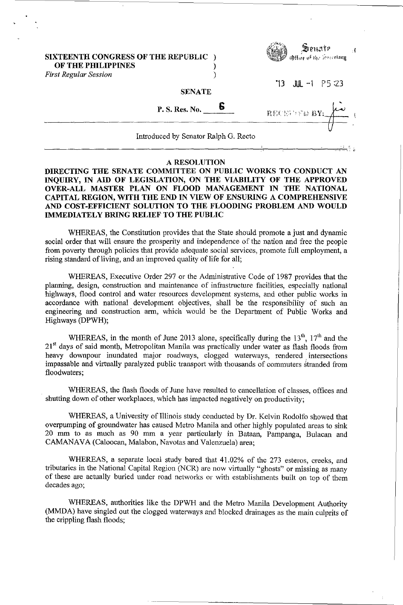## SIXTEENTH CONGRESS OF THE REPUBLIC ) OF THE PHILIPPINES

*First Regular Session )* 



 $J/L -1$  P5:23

RECEIVED BY

## **SENATE**

P. S. Res. No.  $\qquad \blacksquare$ 

Introduced by Senator Ralph G. Recto \_\_\_\_\_\_\_\_\_\_\_\_\_\_\_\_\_\_\_\_\_\_\_\_\_\_\_\_\_\_\_\_\_\_\_\_\_\_\_\_\_\_\_\_\_\_\_\_ ~----~----~~--~~c, ~!

## A RESOLUTION

## DIRECTING THE SENATE COMMITTEE ON PUBLIC WORKS TO CONDUCT AN INQUIRY, IN AID OF LEGISLATION, ON THE VIABILITY OF THE APPROVED OVER-ALL MASTER PLAN ON FLOOD MANAGEMENT IN THE NATIONAL CAPITAL REGION, WITH THE END IN VIEW OF ENSURING A COMPREHENSIVE AND COST-EFFICIENT SOLUTION TO THE FLOODING PROBLEM AND WOULD IMMEDIATELY BRING RELIEF TO THE PUBLIC

WHEREAS, the Constitution provides that the State should promote a just and dynamic social order that will ensure the prosperity and independence of the nation and free the people from poverty through policies that provide adequate social services, promote full employment, a rising standard of living, and an improved quality of life for all;

WHEREAS, Executive Order 297 or the Administrative Code of 1987 provides that the planning, design, construction and maintenance of infrastructure facilities, especially national highways, flood control and water resources development systems, and other public works in accordance with national development objectives, shall be the responsibility of such an engineering and construction arm, which would be the Department of Public Works and Highways (DPWH);

WHEREAS, in the month of June 2013 alone, specifically during the  $13<sup>th</sup>$ ,  $17<sup>th</sup>$  and the 21<sup>st</sup> days of said month, Metropolitan Manila was practically under water as flash floods from heavy downpour inundated major roadways, clogged waterways, rendered. intersections impassable and virtually paralyzed public transport with thousands of commuters stranded from floodwaters;

WHEREAS, the flash floods of June have resulted to cancellation of classes, offices and . shutting down of other workplaces, which has impacted negatively on productivity;

WHEREAS, a University of Illinois study conducted by Dr. Kelvin Rodolfo showed that overpumping of groundwater has caused Metro Manila and other highly populated areas to sink 20 mm to as much as 90 mm a year particularly in Bataan, Pampanga, Bulacan and CAMANA VA (Caloocan, Malabon, Navotas and Valenzuela) area;

WHEREAS, a separate local study bared that 41.02% of the 273 esteros, creeks, and tributaries in the National Capital Region (NCR) are now virtually "ghosts" or missing as many of these are actually buried under road networks or with establishments built on top of them decades ago;

WHEREAS, authorities like the DPWH and the Metro Manila Development Authority (MMDA) have singled out the clogged waterways and blocked drainages as the main culprits of the crippling flash floods;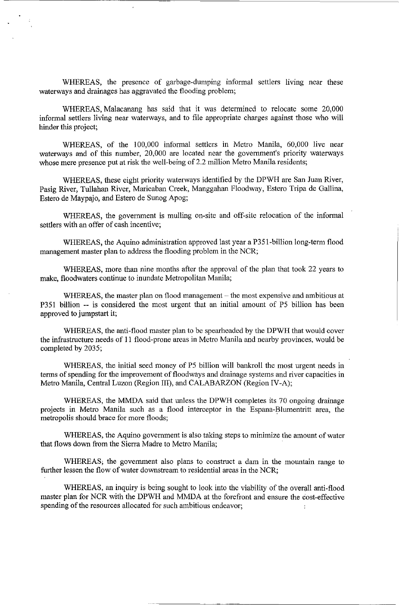WHEREAS, the presence of garbage-dumping informal settlers living near these waterways and drainages has aggravated the flooding problem;

WHEREAS, Malacanang has said that it was determined to relocate some 20,000 informal settlers living near waterways, and to file appropriate charges against those who will hinder this project;

WHEREAS, of the 100,000 informal settlers in Metro Manila, 60,000 live near waterways and of this number, 20,000 are located near the government's priority waterways whose mere presence put at risk the well-being of 2.2 million Metro Manila residents;

WHEREAS, these eight priority waterways identified by the DPWH are San Juan River, Pasig River, Tullahan River, Maricaban Creek, Manggahan Floodway, Estero Tripa de Gallina, Estero de Maypajo, and Estero de Sunog Apog;

WHEREAS, the government is mulling on-site and off-site relocation of the informal settlers with an offer of cash incentive;

WHEREAS, the Aquino administration approved last year a P351-billion long-term flood management master plan to address the flooding problem in the NCR;

WHEREAS, more than nine months after the approval of the plan that took 22 years to make, floodwaters continue to inundate Metropolitan Manila;

WHEREAS, the master plan on flood management – the most expensive and ambitious at P351 billion -- is considered the most urgent that an initial amount of P5 billion has been approved to jumpstart it;

WHEREAS, the anti-flood master plan to be spearheaded by the DPWH that would cover the infrastructure needs of II flood-prone areas in Metro Manila and nearby provinces, would be completed by 2035;

WHEREAS, the initial seed money of P5 billion will bankroll the most urgent needs in terms of spending for the improvement of floodways and drainage systems and river capacities in Metro Manila, Central Luzon (Region III), and CALABARZON (Region IV-A);

WHEREAS, the MMDA said that unless the DPWH completes its 70 ongoing drainage projects in Metro Manila such as a flood interceptor in the Espana-Blumentritt area, the metropolis should brace for more floods; .

WHEREAS, the Aquino government is also taking steps to minimize the amount of water that flows down from the Sierra Madre to Metro Manila;

WHEREAS; the government also plans to construct a dam in the mountain range to further lessen the flow of water downstream to residential areas in the NCR;

WHEREAS, an inquiry is being sought to look into the viability of the overall anti-flood master plan for NCR with the DPWH and MMDA at the forefront and ensure the cost-effective spending of the resources allocated for such ambitious endeavor;